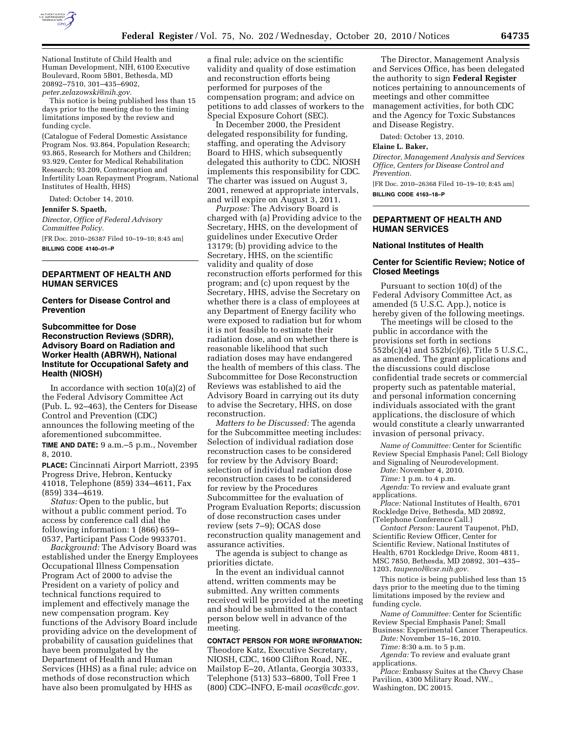

National Institute of Child Health and Human Development, NIH, 6100 Executive Boulevard, Room 5B01, Bethesda, MD 20892–7510, 301–435–6902, *[peter.zelazowski@nih.gov.](mailto:peter.zelazowski@nih.gov)* 

This notice is being published less than 15 days prior to the meeting due to the timing limitations imposed by the review and funding cycle.

(Catalogue of Federal Domestic Assistance Program Nos. 93.864, Population Research; 93.865, Research for Mothers and Children; 93.929, Center for Medical Rehabilitation Research; 93.209, Contraception and Infertility Loan Repayment Program, National Institutes of Health, HHS)

Dated: October 14, 2010.

**Jennifer S. Spaeth,** 

*Director, Office of Federal Advisory Committee Policy.* 

[FR Doc. 2010–26387 Filed 10–19–10; 8:45 am] **BILLING CODE 4140–01–P** 

### **DEPARTMENT OF HEALTH AND HUMAN SERVICES**

### **Centers for Disease Control and Prevention**

# **Subcommittee for Dose Reconstruction Reviews (SDRR), Advisory Board on Radiation and Worker Health (ABRWH), National Institute for Occupational Safety and Health (NIOSH)**

In accordance with section 10(a)(2) of the Federal Advisory Committee Act (Pub. L. 92–463), the Centers for Disease Control and Prevention (CDC) announces the following meeting of the aforementioned subcommittee.

**TIME AND DATE:** 9 a.m.–5 p.m., November 8, 2010.

**PLACE:** Cincinnati Airport Marriott, 2395 Progress Drive, Hebron, Kentucky 41018, Telephone (859) 334–4611, Fax (859) 334–4619.

*Status:* Open to the public, but without a public comment period. To access by conference call dial the following information: 1 (866) 659– 0537, Participant Pass Code 9933701.

*Background:* The Advisory Board was established under the Energy Employees Occupational Illness Compensation Program Act of 2000 to advise the President on a variety of policy and technical functions required to implement and effectively manage the new compensation program. Key functions of the Advisory Board include providing advice on the development of probability of causation guidelines that have been promulgated by the Department of Health and Human Services (HHS) as a final rule; advice on methods of dose reconstruction which have also been promulgated by HHS as

a final rule; advice on the scientific validity and quality of dose estimation and reconstruction efforts being performed for purposes of the compensation program; and advice on petitions to add classes of workers to the Special Exposure Cohort (SEC).

In December 2000, the President delegated responsibility for funding, staffing, and operating the Advisory Board to HHS, which subsequently delegated this authority to CDC. NIOSH implements this responsibility for CDC. The charter was issued on August 3, 2001, renewed at appropriate intervals, and will expire on August 3, 2011.

*Purpose:* The Advisory Board is charged with (a) Providing advice to the Secretary, HHS, on the development of guidelines under Executive Order 13179; (b) providing advice to the Secretary, HHS, on the scientific validity and quality of dose reconstruction efforts performed for this program; and (c) upon request by the Secretary, HHS, advise the Secretary on whether there is a class of employees at any Department of Energy facility who were exposed to radiation but for whom it is not feasible to estimate their radiation dose, and on whether there is reasonable likelihood that such radiation doses may have endangered the health of members of this class. The Subcommittee for Dose Reconstruction Reviews was established to aid the Advisory Board in carrying out its duty to advise the Secretary, HHS, on dose reconstruction.

*Matters to be Discussed:* The agenda for the Subcommittee meeting includes: Selection of individual radiation dose reconstruction cases to be considered for review by the Advisory Board; selection of individual radiation dose reconstruction cases to be considered for review by the Procedures Subcommittee for the evaluation of Program Evaluation Reports; discussion of dose reconstruction cases under review (sets 7–9); OCAS dose reconstruction quality management and assurance activities.

The agenda is subject to change as priorities dictate.

In the event an individual cannot attend, written comments may be submitted. Any written comments received will be provided at the meeting and should be submitted to the contact person below well in advance of the meeting.

**CONTACT PERSON FOR MORE INFORMATION:**  Theodore Katz, Executive Secretary, NIOSH, CDC, 1600 Clifton Road, NE., Mailstop E–20, Atlanta, Georgia 30333, Telephone (513) 533–6800, Toll Free 1 (800) CDC–INFO, E-mail *[ocas@cdc.gov.](mailto:ocas@cdc.gov)* 

The Director, Management Analysis and Services Office, has been delegated the authority to sign **Federal Register**  notices pertaining to announcements of meetings and other committee management activities, for both CDC and the Agency for Toxic Substances and Disease Registry.

Dated: October 13, 2010.

# **Elaine L. Baker,**

*Director, Management Analysis and Services Office, Centers for Disease Control and Prevention.* 

[FR Doc. 2010–26368 Filed 10–19–10; 8:45 am] **BILLING CODE 4163–18–P** 

# **DEPARTMENT OF HEALTH AND HUMAN SERVICES**

#### **National Institutes of Health**

### **Center for Scientific Review; Notice of Closed Meetings**

Pursuant to section 10(d) of the Federal Advisory Committee Act, as amended (5 U.S.C. App.), notice is hereby given of the following meetings.

The meetings will be closed to the public in accordance with the provisions set forth in sections 552b(c)(4) and 552b(c)(6), Title 5 U.S.C., as amended. The grant applications and the discussions could disclose confidential trade secrets or commercial property such as patentable material, and personal information concerning individuals associated with the grant applications, the disclosure of which would constitute a clearly unwarranted invasion of personal privacy.

*Name of Committee:* Center for Scientific Review Special Emphasis Panel; Cell Biology and Signaling of Neurodevelopment.

*Date:* November 4, 2010.

*Time:* 1 p.m. to 4 p.m.

*Agenda:* To review and evaluate grant applications.

*Place:* National Institutes of Health, 6701 Rockledge Drive, Bethesda, MD 20892, (Telephone Conference Call.)

*Contact Person:* Laurent Taupenot, PhD, Scientific Review Officer, Center for Scientific Review, National Institutes of Health, 6701 Rockledge Drive, Room 4811, MSC 7850, Bethesda, MD 20892, 301–435– 1203, *[taupenol@csr.nih.gov.](mailto:taupenol@csr.nih.gov)* 

This notice is being published less than 15 days prior to the meeting due to the timing limitations imposed by the review and funding cycle.

*Name of Committee:* Center for Scientific Review Special Emphasis Panel; Small

Business: Experimental Cancer Therapeutics. *Date:* November 15–16, 2010.

*Time:* 8:30 a.m. to 5 p.m.

*Agenda:* To review and evaluate grant applications.

*Place:* Embassy Suites at the Chevy Chase Pavilion, 4300 Military Road, NW., Washington, DC 20015.